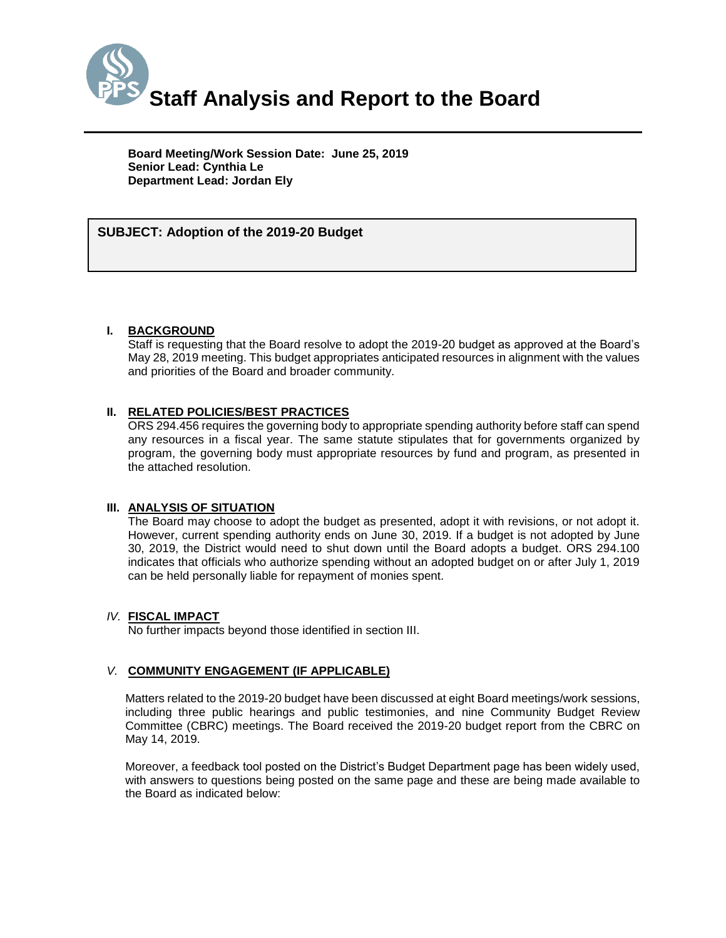

**Board Meeting/Work Session Date: June 25, 2019 Senior Lead: Cynthia Le Department Lead: Jordan Ely**

# *(Use this section to briefly explain the item—2-3 sentences)* **SUBJECT: Adoption of the 2019-20 Budget**

#### **I. BACKGROUND**

Staff is requesting that the Board resolve to adopt the 2019-20 budget as approved at the Board's May 28, 2019 meeting. This budget appropriates anticipated resources in alignment with the values and priorities of the Board and broader community.

### **II. RELATED POLICIES/BEST PRACTICES**

ORS 294.456 requires the governing body to appropriate spending authority before staff can spend any resources in a fiscal year. The same statute stipulates that for governments organized by program, the governing body must appropriate resources by fund and program, as presented in the attached resolution.

#### **III. ANALYSIS OF SITUATION**

The Board may choose to adopt the budget as presented, adopt it with revisions, or not adopt it. However, current spending authority ends on June 30, 2019. If a budget is not adopted by June 30, 2019, the District would need to shut down until the Board adopts a budget. ORS 294.100 indicates that officials who authorize spending without an adopted budget on or after July 1, 2019 can be held personally liable for repayment of monies spent.

#### *IV.* **FISCAL IMPACT**

No further impacts beyond those identified in section III.

### *V.* **COMMUNITY ENGAGEMENT (IF APPLICABLE)**

Matters related to the 2019-20 budget have been discussed at eight Board meetings/work sessions, including three public hearings and public testimonies, and nine Community Budget Review Committee (CBRC) meetings. The Board received the 2019-20 budget report from the CBRC on May 14, 2019.

Moreover, a feedback tool posted on the District's Budget Department page has been widely used, with answers to questions being posted on the same page and these are being made available to the Board as indicated below: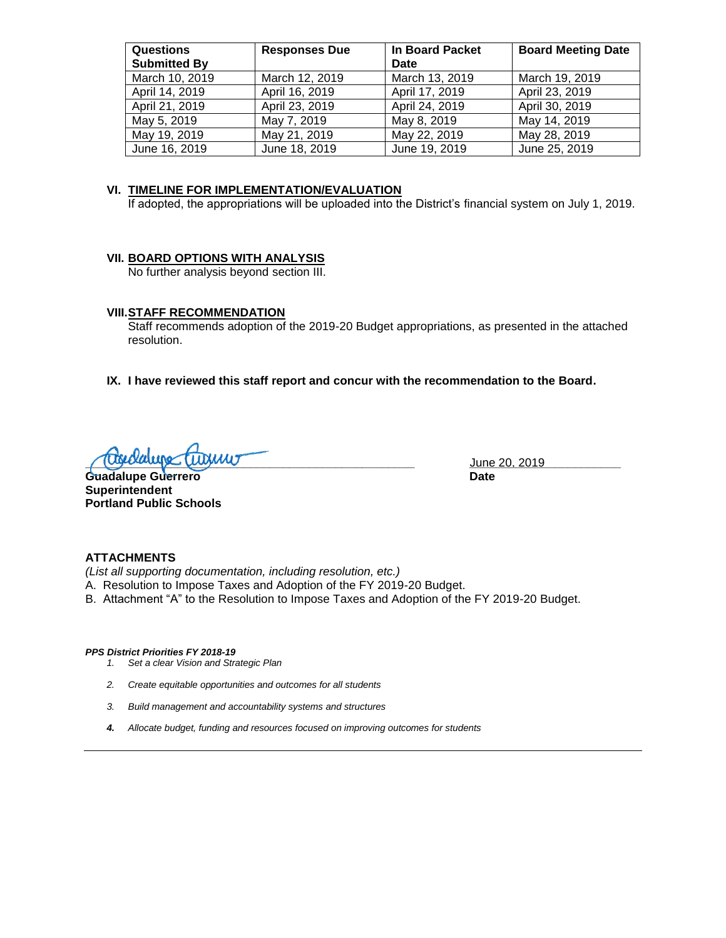| <b>Questions</b><br><b>Submitted By</b> | <b>Responses Due</b> | In Board Packet<br>Date | <b>Board Meeting Date</b> |
|-----------------------------------------|----------------------|-------------------------|---------------------------|
| March 10, 2019                          | March 12, 2019       | March 13, 2019          | March 19, 2019            |
| April 14, 2019                          | April 16, 2019       | April 17, 2019          | April 23, 2019            |
| April 21, 2019                          | April 23, 2019       | April 24, 2019          | April 30, 2019            |
| May 5, 2019                             | May 7, 2019          | May 8, 2019             | May 14, 2019              |
| May 19, 2019                            | May 21, 2019         | May 22, 2019            | May 28, 2019              |
| June 16, 2019                           | June 18, 2019        | June 19, 2019           | June 25, 2019             |

#### **VI. TIMELINE FOR IMPLEMENTATION/EVALUATION**

If adopted, the appropriations will be uploaded into the District's financial system on July 1, 2019.

#### **VII. BOARD OPTIONS WITH ANALYSIS**

No further analysis beyond section III.

#### **VIII.STAFF RECOMMENDATION**

Staff recommends adoption of the 2019-20 Budget appropriations, as presented in the attached resolution.

#### **IX. I have reviewed this staff report and concur with the recommendation to the Board.**

**<u>Cusedupe</u> (Turnu) and the set of the set of the set of the set of the set of the set of the set of the set of the set of the set of the set of the set of the set of the set of the set of the set of the set of the set of** 

Guadalupe Guerrero **Date Superintendent Portland Public Schools**

#### **ATTACHMENTS**

*(List all supporting documentation, including resolution, etc.)*

- A. Resolution to Impose Taxes and Adoption of the FY 2019-20 Budget.
- B. Attachment "A" to the Resolution to Impose Taxes and Adoption of the FY 2019-20 Budget.

#### *PPS District Priorities FY 2018-19*

- *1. Set a clear Vision and Strategic Plan*
- *2. Create equitable opportunities and outcomes for all students*
- *3. Build management and accountability systems and structures*
- *4. Allocate budget, funding and resources focused on improving outcomes for students*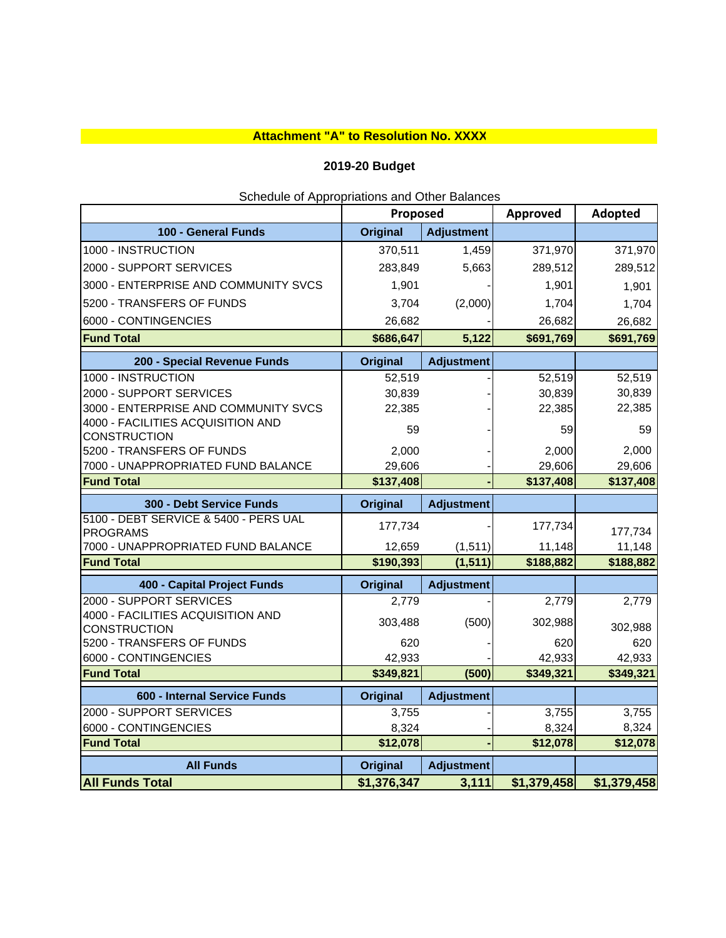## **Attachment "A" to Resolution No. XXXX**

## **2019-20 Budget**

|                                                          | Scribute or Appropriations and Other Dalances<br>Proposed |                   | Approved    | Adopted     |
|----------------------------------------------------------|-----------------------------------------------------------|-------------------|-------------|-------------|
| 100 - General Funds                                      | <b>Original</b>                                           | <b>Adjustment</b> |             |             |
| 1000 - INSTRUCTION                                       | 370,511                                                   | 1,459             | 371,970     | 371,970     |
| 2000 - SUPPORT SERVICES                                  | 283,849                                                   | 5,663             | 289,512     | 289,512     |
| 3000 - ENTERPRISE AND COMMUNITY SVCS                     | 1,901                                                     |                   | 1,901       | 1,901       |
| 5200 - TRANSFERS OF FUNDS                                | 3,704                                                     | (2,000)           | 1,704       | 1,704       |
| 6000 - CONTINGENCIES                                     | 26,682                                                    |                   | 26,682      | 26,682      |
| <b>Fund Total</b>                                        | \$686,647                                                 | 5,122             | \$691,769   | \$691,769   |
| 200 - Special Revenue Funds                              | <b>Original</b>                                           | <b>Adjustment</b> |             |             |
| 1000 - INSTRUCTION                                       | 52,519                                                    |                   | 52,519      | 52,519      |
| 2000 - SUPPORT SERVICES                                  | 30,839                                                    |                   | 30,839      | 30,839      |
| 3000 - ENTERPRISE AND COMMUNITY SVCS                     | 22,385                                                    |                   | 22,385      | 22,385      |
| 4000 - FACILITIES ACQUISITION AND<br><b>CONSTRUCTION</b> | 59                                                        |                   | 59          | 59          |
| 5200 - TRANSFERS OF FUNDS                                | 2,000                                                     |                   | 2,000       | 2,000       |
| 7000 - UNAPPROPRIATED FUND BALANCE                       | 29,606                                                    |                   | 29,606      | 29,606      |
| <b>Fund Total</b>                                        | \$137,408                                                 |                   | \$137,408   | \$137,408   |
| 300 - Debt Service Funds                                 | <b>Original</b>                                           | <b>Adjustment</b> |             |             |
| 5100 - DEBT SERVICE & 5400 - PERS UAL                    | 177,734                                                   |                   | 177,734     |             |
| <b>PROGRAMS</b>                                          |                                                           |                   |             | 177,734     |
| 7000 - UNAPPROPRIATED FUND BALANCE<br><b>Fund Total</b>  | 12,659                                                    | (1, 511)          | 11,148      | 11,148      |
|                                                          | \$190,393                                                 | (1, 511)          | \$188,882   | \$188,882   |
| 400 - Capital Project Funds                              | <b>Original</b>                                           | <b>Adjustment</b> |             |             |
| 2000 - SUPPORT SERVICES                                  | 2,779                                                     |                   | 2,779       | 2,779       |
| 4000 - FACILITIES ACQUISITION AND<br><b>CONSTRUCTION</b> | 303,488                                                   | (500)             | 302,988     | 302,988     |
| 5200 - TRANSFERS OF FUNDS                                | 620                                                       |                   | 620         | 620         |
| 6000 - CONTINGENCIES                                     | 42,933                                                    |                   | 42,933      | 42,933      |
| <b>Fund Total</b>                                        | \$349,821                                                 | (500)             | \$349,321   | \$349,321   |
| 600 - Internal Service Funds                             | <b>Original</b>                                           | <b>Adjustment</b> |             |             |
| 2000 - SUPPORT SERVICES                                  | 3,755                                                     |                   | 3,755       | 3,755       |
| 6000 - CONTINGENCIES                                     | 8,324                                                     |                   | 8,324       | 8,324       |
| <b>Fund Total</b>                                        | \$12,078                                                  |                   | \$12,078    | \$12,078    |
| <b>All Funds</b>                                         | <b>Original</b>                                           | <b>Adjustment</b> |             |             |
| <b>All Funds Total</b>                                   | \$1,376,347                                               | 3,111             | \$1,379,458 | \$1,379,458 |

Schedule of Appropriations and Other Balances